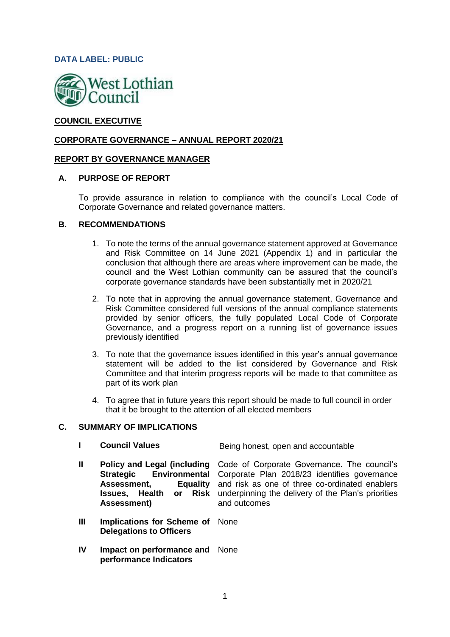### **DATA LABEL: PUBLIC**



## **COUNCIL EXECUTIVE**

#### **CORPORATE GOVERNANCE – ANNUAL REPORT 2020/21**

#### **REPORT BY GOVERNANCE MANAGER**

#### **A. PURPOSE OF REPORT**

To provide assurance in relation to compliance with the council's Local Code of Corporate Governance and related governance matters.

#### **B. RECOMMENDATIONS**

- 1. To note the terms of the annual governance statement approved at Governance and Risk Committee on 14 June 2021 (Appendix 1) and in particular the conclusion that although there are areas where improvement can be made, the council and the West Lothian community can be assured that the council's corporate governance standards have been substantially met in 2020/21
- 2. To note that in approving the annual governance statement, Governance and Risk Committee considered full versions of the annual compliance statements provided by senior officers, the fully populated Local Code of Corporate Governance, and a progress report on a running list of governance issues previously identified
- 3. To note that the governance issues identified in this year's annual governance statement will be added to the list considered by Governance and Risk Committee and that interim progress reports will be made to that committee as part of its work plan
- 4. To agree that in future years this report should be made to full council in order that it be brought to the attention of all elected members

#### **C. SUMMARY OF IMPLICATIONS**

- **I Council Values Being honest, open and accountable**
- **II Policy and Legal (including Strategic Environmental Assessment, Equality Issues, Health or Risk Assessment)** Code of Corporate Governance. The council's Corporate Plan 2018/23 identifies governance and risk as one of three co-ordinated enablers underpinning the delivery of the Plan's priorities and outcomes
- **III Implications for Scheme of**  None **Delegations to Officers**
- **IV Impact on performance and**  None**performance Indicators**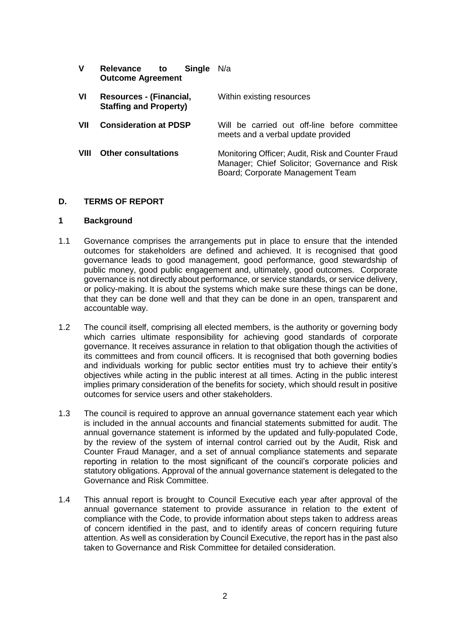| V    | <b>Single</b><br>Relevance<br>to<br><b>Outcome Agreement</b> | N/a                                                                                                                                    |  |
|------|--------------------------------------------------------------|----------------------------------------------------------------------------------------------------------------------------------------|--|
| VI   | Resources - (Financial,<br><b>Staffing and Property)</b>     | Within existing resources                                                                                                              |  |
| VII  | <b>Consideration at PDSP</b>                                 | Will be carried out off-line before committee<br>meets and a verbal update provided                                                    |  |
| VIII | <b>Other consultations</b>                                   | Monitoring Officer; Audit, Risk and Counter Fraud<br>Manager; Chief Solicitor; Governance and Risk<br>Board; Corporate Management Team |  |

#### **D. TERMS OF REPORT**

#### **1 Background**

- 1.1 Governance comprises the arrangements put in place to ensure that the intended outcomes for stakeholders are defined and achieved. It is recognised that good governance leads to good management, good performance, good stewardship of public money, good public engagement and, ultimately, good outcomes. Corporate governance is not directly about performance, or service standards, or service delivery, or policy-making. It is about the systems which make sure these things can be done, that they can be done well and that they can be done in an open, transparent and accountable way.
- 1.2 The council itself, comprising all elected members, is the authority or governing body which carries ultimate responsibility for achieving good standards of corporate governance. It receives assurance in relation to that obligation though the activities of its committees and from council officers. It is recognised that both governing bodies and individuals working for public sector entities must try to achieve their entity's objectives while acting in the public interest at all times. Acting in the public interest implies primary consideration of the benefits for society, which should result in positive outcomes for service users and other stakeholders.
- 1.3 The council is required to approve an annual governance statement each year which is included in the annual accounts and financial statements submitted for audit. The annual governance statement is informed by the updated and fully-populated Code, by the review of the system of internal control carried out by the Audit, Risk and Counter Fraud Manager, and a set of annual compliance statements and separate reporting in relation to the most significant of the council's corporate policies and statutory obligations. Approval of the annual governance statement is delegated to the Governance and Risk Committee.
- 1.4 This annual report is brought to Council Executive each year after approval of the annual governance statement to provide assurance in relation to the extent of compliance with the Code, to provide information about steps taken to address areas of concern identified in the past, and to identify areas of concern requiring future attention. As well as consideration by Council Executive, the report has in the past also taken to Governance and Risk Committee for detailed consideration.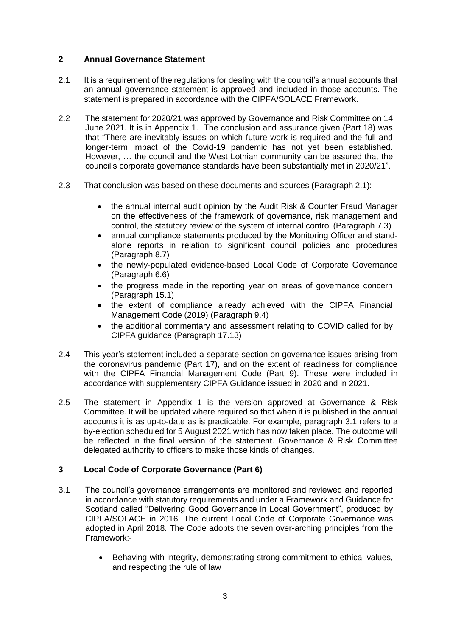## **2 Annual Governance Statement**

- 2.1 It is a requirement of the regulations for dealing with the council's annual accounts that an annual governance statement is approved and included in those accounts. The statement is prepared in accordance with the CIPFA/SOLACE Framework.
- 2.2 The statement for 2020/21 was approved by Governance and Risk Committee on 14 June 2021. It is in Appendix 1. The conclusion and assurance given (Part 18) was that "There are inevitably issues on which future work is required and the full and longer-term impact of the Covid-19 pandemic has not yet been established. However, … the council and the West Lothian community can be assured that the council's corporate governance standards have been substantially met in 2020/21".
- 2.3 That conclusion was based on these documents and sources (Paragraph 2.1):-
	- the annual internal audit opinion by the Audit Risk & Counter Fraud Manager on the effectiveness of the framework of governance, risk management and control, the statutory review of the system of internal control (Paragraph 7.3)
	- annual compliance statements produced by the Monitoring Officer and standalone reports in relation to significant council policies and procedures (Paragraph 8.7)
	- the newly-populated evidence-based Local Code of Corporate Governance (Paragraph 6.6)
	- the progress made in the reporting year on areas of governance concern (Paragraph 15.1)
	- the extent of compliance already achieved with the CIPFA Financial Management Code (2019) (Paragraph 9.4)
	- the additional commentary and assessment relating to COVID called for by CIPFA guidance (Paragraph 17.13)
- 2.4 This year's statement included a separate section on governance issues arising from the coronavirus pandemic (Part 17), and on the extent of readiness for compliance with the CIPFA Financial Management Code (Part 9). These were included in accordance with supplementary CIPFA Guidance issued in 2020 and in 2021.
- 2.5 The statement in Appendix 1 is the version approved at Governance & Risk Committee. It will be updated where required so that when it is published in the annual accounts it is as up-to-date as is practicable. For example, paragraph 3.1 refers to a by-election scheduled for 5 August 2021 which has now taken place. The outcome will be reflected in the final version of the statement. Governance & Risk Committee delegated authority to officers to make those kinds of changes.

# **3 Local Code of Corporate Governance (Part 6)**

- 3.1 The council's governance arrangements are monitored and reviewed and reported in accordance with statutory requirements and under a Framework and Guidance for Scotland called "Delivering Good Governance in Local Government", produced by CIPFA/SOLACE in 2016. The current Local Code of Corporate Governance was adopted in April 2018. The Code adopts the seven over-arching principles from the Framework:-
	- Behaving with integrity, demonstrating strong commitment to ethical values, and respecting the rule of law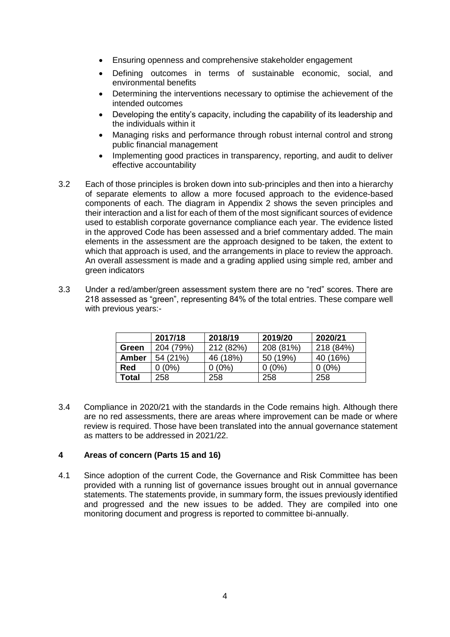- Ensuring openness and comprehensive stakeholder engagement
- Defining outcomes in terms of sustainable economic, social, and environmental benefits
- Determining the interventions necessary to optimise the achievement of the intended outcomes
- Developing the entity's capacity, including the capability of its leadership and the individuals within it
- Managing risks and performance through robust internal control and strong public financial management
- Implementing good practices in transparency, reporting, and audit to deliver effective accountability
- 3.2 Each of those principles is broken down into sub-principles and then into a hierarchy of separate elements to allow a more focused approach to the evidence-based components of each. The diagram in Appendix 2 shows the seven principles and their interaction and a list for each of them of the most significant sources of evidence used to establish corporate governance compliance each year. The evidence listed in the approved Code has been assessed and a brief commentary added. The main elements in the assessment are the approach designed to be taken, the extent to which that approach is used, and the arrangements in place to review the approach. An overall assessment is made and a grading applied using simple red, amber and green indicators
- 3.3 Under a red/amber/green assessment system there are no "red" scores. There are 218 assessed as "green", representing 84% of the total entries. These compare well with previous years:-

|            | 2017/18   | 2018/19   | 2019/20   | 2020/21   |
|------------|-----------|-----------|-----------|-----------|
| Green      | 204 (79%) | 212 (82%) | 208 (81%) | 218 (84%) |
| Amber      | 54 (21%)  | 46 (18%)  | 50 (19%)  | 40 (16%)  |
| <b>Red</b> | $0(0\%)$  | 0 (0%)    | 0 (0%)    | $0(0\%)$  |
| Total      | 258       | 258       | 258       | 258       |

3.4 Compliance in 2020/21 with the standards in the Code remains high. Although there are no red assessments, there are areas where improvement can be made or where review is required. Those have been translated into the annual governance statement as matters to be addressed in 2021/22.

### **4 Areas of concern (Parts 15 and 16)**

4.1 Since adoption of the current Code, the Governance and Risk Committee has been provided with a running list of governance issues brought out in annual governance statements. The statements provide, in summary form, the issues previously identified and progressed and the new issues to be added. They are compiled into one monitoring document and progress is reported to committee bi-annually.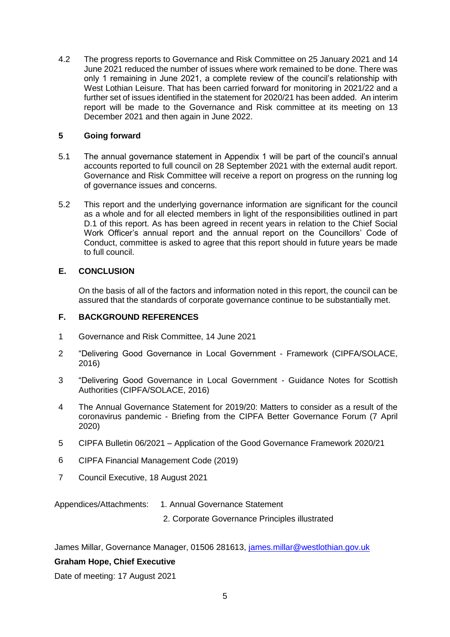4.2 The progress reports to Governance and Risk Committee on 25 January 2021 and 14 June 2021 reduced the number of issues where work remained to be done. There was only 1 remaining in June 2021, a complete review of the council's relationship with West Lothian Leisure. That has been carried forward for monitoring in 2021/22 and a further set of issues identified in the statement for 2020/21 has been added. An interim report will be made to the Governance and Risk committee at its meeting on 13 December 2021 and then again in June 2022.

### **5 Going forward**

- 5.1 The annual governance statement in Appendix 1 will be part of the council's annual accounts reported to full council on 28 September 2021 with the external audit report. Governance and Risk Committee will receive a report on progress on the running log of governance issues and concerns.
- 5.2 This report and the underlying governance information are significant for the council as a whole and for all elected members in light of the responsibilities outlined in part D.1 of this report. As has been agreed in recent years in relation to the Chief Social Work Officer's annual report and the annual report on the Councillors' Code of Conduct, committee is asked to agree that this report should in future years be made to full council.

# **E. CONCLUSION**

On the basis of all of the factors and information noted in this report, the council can be assured that the standards of corporate governance continue to be substantially met.

## **F. BACKGROUND REFERENCES**

- 1 Governance and Risk Committee, 14 June 2021
- 2 "Delivering Good Governance in Local Government Framework (CIPFA/SOLACE, 2016)
- 3 "Delivering Good Governance in Local Government Guidance Notes for Scottish Authorities (CIPFA/SOLACE, 2016)
- 4 The Annual Governance Statement for 2019/20: Matters to consider as a result of the coronavirus pandemic - Briefing from the CIPFA Better Governance Forum (7 April 2020)
- 5 CIPFA Bulletin 06/2021 Application of the Good Governance Framework 2020/21
- 6 CIPFA Financial Management Code (2019)
- 7 Council Executive, 18 August 2021

Appendices/Attachments: 1. Annual Governance Statement

2. Corporate Governance Principles illustrated

James Millar, Governance Manager, 01506 281613, [james.millar@westlothian.gov.uk](mailto:james.millar@westlothian.gov.uk)

### **Graham Hope, Chief Executive**

Date of meeting: 17 August 2021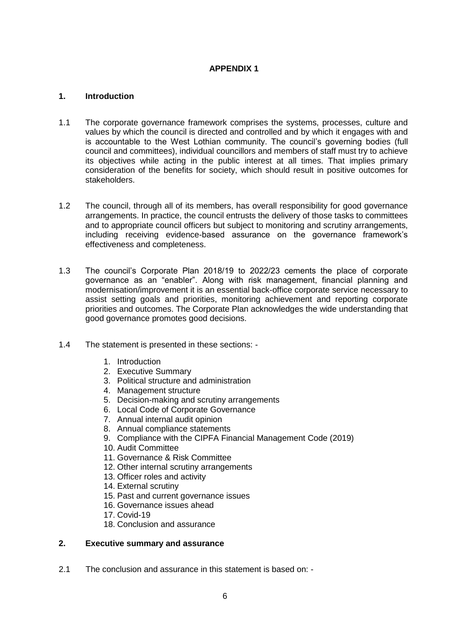### **APPENDIX 1**

### **1. Introduction**

- 1.1 The corporate governance framework comprises the systems, processes, culture and values by which the council is directed and controlled and by which it engages with and is accountable to the West Lothian community. The council's governing bodies (full council and committees), individual councillors and members of staff must try to achieve its objectives while acting in the public interest at all times. That implies primary consideration of the benefits for society, which should result in positive outcomes for stakeholders.
- 1.2 The council, through all of its members, has overall responsibility for good governance arrangements. In practice, the council entrusts the delivery of those tasks to committees and to appropriate council officers but subject to monitoring and scrutiny arrangements, including receiving evidence-based assurance on the governance framework's effectiveness and completeness.
- 1.3 The council's Corporate Plan 2018/19 to 2022/23 cements the place of corporate governance as an "enabler". Along with risk management, financial planning and modernisation/improvement it is an essential back-office corporate service necessary to assist setting goals and priorities, monitoring achievement and reporting corporate priorities and outcomes. The Corporate Plan acknowledges the wide understanding that good governance promotes good decisions.
- 1.4 The statement is presented in these sections:
	- 1. Introduction
	- 2. Executive Summary
	- 3. Political structure and administration
	- 4. Management structure
	- 5. Decision-making and scrutiny arrangements
	- 6. Local Code of Corporate Governance
	- 7. Annual internal audit opinion
	- 8. Annual compliance statements
	- 9. Compliance with the CIPFA Financial Management Code (2019)
	- 10. Audit Committee
	- 11. Governance & Risk Committee
	- 12. Other internal scrutiny arrangements
	- 13. Officer roles and activity
	- 14. External scrutiny
	- 15. Past and current governance issues
	- 16. Governance issues ahead
	- 17. Covid-19
	- 18. Conclusion and assurance

## **2. Executive summary and assurance**

2.1 The conclusion and assurance in this statement is based on: -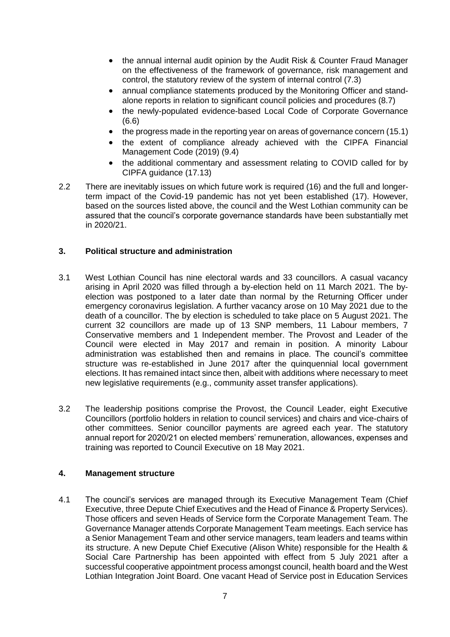- the annual internal audit opinion by the Audit Risk & Counter Fraud Manager on the effectiveness of the framework of governance, risk management and control, the statutory review of the system of internal control (7.3)
- annual compliance statements produced by the Monitoring Officer and standalone reports in relation to significant council policies and procedures (8.7)
- the newly-populated evidence-based Local Code of Corporate Governance (6.6)
- the progress made in the reporting year on areas of governance concern (15.1)
- the extent of compliance already achieved with the CIPFA Financial Management Code (2019) (9.4)
- the additional commentary and assessment relating to COVID called for by CIPFA guidance (17.13)
- 2.2 There are inevitably issues on which future work is required (16) and the full and longerterm impact of the Covid-19 pandemic has not yet been established (17). However, based on the sources listed above, the council and the West Lothian community can be assured that the council's corporate governance standards have been substantially met in 2020/21.

## **3. Political structure and administration**

- 3.1 West Lothian Council has nine electoral wards and 33 councillors. A casual vacancy arising in April 2020 was filled through a by-election held on 11 March 2021. The byelection was postponed to a later date than normal by the Returning Officer under emergency coronavirus legislation. A further vacancy arose on 10 May 2021 due to the death of a councillor. The by election is scheduled to take place on 5 August 2021. The current 32 councillors are made up of 13 SNP members, 11 Labour members, 7 Conservative members and 1 Independent member. The Provost and Leader of the Council were elected in May 2017 and remain in position. A minority Labour administration was established then and remains in place. The council's committee structure was re-established in June 2017 after the quinquennial local government elections. It has remained intact since then, albeit with additions where necessary to meet new legislative requirements (e.g., community asset transfer applications).
- 3.2 The leadership positions comprise the Provost, the Council Leader, eight Executive Councillors (portfolio holders in relation to council services) and chairs and vice-chairs of other committees. Senior councillor payments are agreed each year. The statutory annual report for 2020/21 on elected members' remuneration, allowances, expenses and training was reported to Council Executive on 18 May 2021.

### **4. Management structure**

4.1 The council's services are managed through its Executive Management Team (Chief Executive, three Depute Chief Executives and the Head of Finance & Property Services). Those officers and seven Heads of Service form the Corporate Management Team. The Governance Manager attends Corporate Management Team meetings. Each service has a Senior Management Team and other service managers, team leaders and teams within its structure. A new Depute Chief Executive (Alison White) responsible for the Health & Social Care Partnership has been appointed with effect from 5 July 2021 after a successful cooperative appointment process amongst council, health board and the West Lothian Integration Joint Board. One vacant Head of Service post in Education Services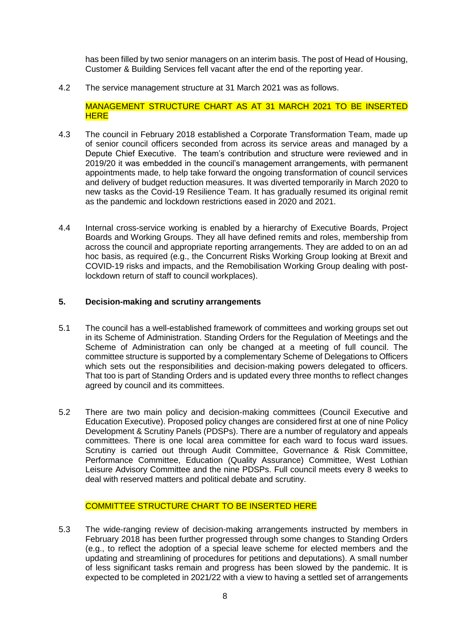has been filled by two senior managers on an interim basis. The post of Head of Housing, Customer & Building Services fell vacant after the end of the reporting year.

4.2 The service management structure at 31 March 2021 was as follows.

MANAGEMENT STRUCTURE CHART AS AT 31 MARCH 2021 TO BE INSERTED **HERE** 

- 4.3 The council in February 2018 established a Corporate Transformation Team, made up of senior council officers seconded from across its service areas and managed by a Depute Chief Executive. The team's contribution and structure were reviewed and in 2019/20 it was embedded in the council's management arrangements, with permanent appointments made, to help take forward the ongoing transformation of council services and delivery of budget reduction measures. It was diverted temporarily in March 2020 to new tasks as the Covid-19 Resilience Team. It has gradually resumed its original remit as the pandemic and lockdown restrictions eased in 2020 and 2021.
- 4.4 Internal cross-service working is enabled by a hierarchy of Executive Boards, Project Boards and Working Groups. They all have defined remits and roles, membership from across the council and appropriate reporting arrangements. They are added to on an ad hoc basis, as required (e.g., the Concurrent Risks Working Group looking at Brexit and COVID-19 risks and impacts, and the Remobilisation Working Group dealing with postlockdown return of staff to council workplaces).

#### **5. Decision-making and scrutiny arrangements**

- 5.1 The council has a well-established framework of committees and working groups set out in its Scheme of Administration. Standing Orders for the Regulation of Meetings and the Scheme of Administration can only be changed at a meeting of full council. The committee structure is supported by a complementary Scheme of Delegations to Officers which sets out the responsibilities and decision-making powers delegated to officers. That too is part of Standing Orders and is updated every three months to reflect changes agreed by council and its committees.
- 5.2 There are two main policy and decision-making committees (Council Executive and Education Executive). Proposed policy changes are considered first at one of nine Policy Development & Scrutiny Panels (PDSPs). There are a number of regulatory and appeals committees. There is one local area committee for each ward to focus ward issues. Scrutiny is carried out through Audit Committee, Governance & Risk Committee, Performance Committee, Education (Quality Assurance) Committee, West Lothian Leisure Advisory Committee and the nine PDSPs. Full council meets every 8 weeks to deal with reserved matters and political debate and scrutiny.

#### COMMITTEE STRUCTURE CHART TO BE INSERTED HERE

5.3 The wide-ranging review of decision-making arrangements instructed by members in February 2018 has been further progressed through some changes to Standing Orders (e.g., to reflect the adoption of a special leave scheme for elected members and the updating and streamlining of procedures for petitions and deputations). A small number of less significant tasks remain and progress has been slowed by the pandemic. It is expected to be completed in 2021/22 with a view to having a settled set of arrangements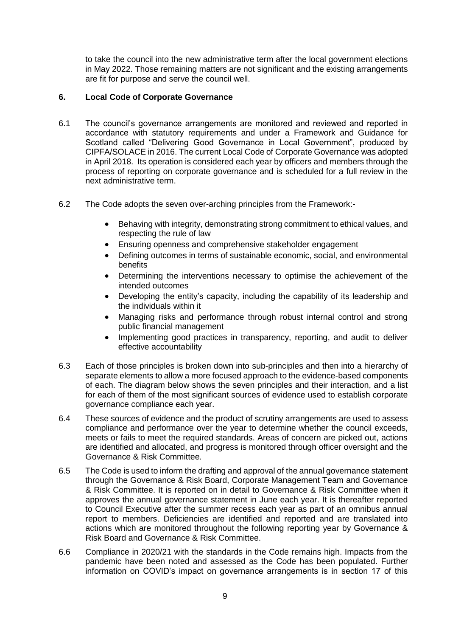to take the council into the new administrative term after the local government elections in May 2022. Those remaining matters are not significant and the existing arrangements are fit for purpose and serve the council well.

## **6. Local Code of Corporate Governance**

- 6.1 The council's governance arrangements are monitored and reviewed and reported in accordance with statutory requirements and under a Framework and Guidance for Scotland called "Delivering Good Governance in Local Government", produced by CIPFA/SOLACE in 2016. The current Local Code of Corporate Governance was adopted in April 2018. Its operation is considered each year by officers and members through the process of reporting on corporate governance and is scheduled for a full review in the next administrative term.
- 6.2 The Code adopts the seven over-arching principles from the Framework:-
	- Behaving with integrity, demonstrating strong commitment to ethical values, and respecting the rule of law
	- Ensuring openness and comprehensive stakeholder engagement
	- Defining outcomes in terms of sustainable economic, social, and environmental benefits
	- Determining the interventions necessary to optimise the achievement of the intended outcomes
	- Developing the entity's capacity, including the capability of its leadership and the individuals within it
	- Managing risks and performance through robust internal control and strong public financial management
	- Implementing good practices in transparency, reporting, and audit to deliver effective accountability
- 6.3 Each of those principles is broken down into sub-principles and then into a hierarchy of separate elements to allow a more focused approach to the evidence-based components of each. The diagram below shows the seven principles and their interaction, and a list for each of them of the most significant sources of evidence used to establish corporate governance compliance each year.
- 6.4 These sources of evidence and the product of scrutiny arrangements are used to assess compliance and performance over the year to determine whether the council exceeds, meets or fails to meet the required standards. Areas of concern are picked out, actions are identified and allocated, and progress is monitored through officer oversight and the Governance & Risk Committee.
- 6.5 The Code is used to inform the drafting and approval of the annual governance statement through the Governance & Risk Board, Corporate Management Team and Governance & Risk Committee. It is reported on in detail to Governance & Risk Committee when it approves the annual governance statement in June each year. It is thereafter reported to Council Executive after the summer recess each year as part of an omnibus annual report to members. Deficiencies are identified and reported and are translated into actions which are monitored throughout the following reporting year by Governance & Risk Board and Governance & Risk Committee.
- 6.6 Compliance in 2020/21 with the standards in the Code remains high. Impacts from the pandemic have been noted and assessed as the Code has been populated. Further information on COVID's impact on governance arrangements is in section 17 of this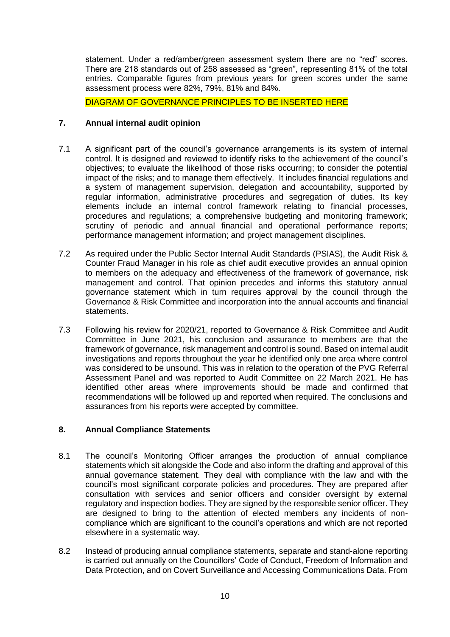statement. Under a red/amber/green assessment system there are no "red" scores. There are 218 standards out of 258 assessed as "green", representing 81% of the total entries. Comparable figures from previous years for green scores under the same assessment process were 82%, 79%, 81% and 84%.

DIAGRAM OF GOVERNANCE PRINCIPLES TO BE INSERTED HERE

## **7. Annual internal audit opinion**

- 7.1 A significant part of the council's governance arrangements is its system of internal control. It is designed and reviewed to identify risks to the achievement of the council's objectives; to evaluate the likelihood of those risks occurring; to consider the potential impact of the risks; and to manage them effectively. It includes financial regulations and a system of management supervision, delegation and accountability, supported by regular information, administrative procedures and segregation of duties. Its key elements include an internal control framework relating to financial processes, procedures and regulations; a comprehensive budgeting and monitoring framework; scrutiny of periodic and annual financial and operational performance reports; performance management information; and project management disciplines.
- 7.2 As required under the Public Sector Internal Audit Standards (PSIAS), the Audit Risk & Counter Fraud Manager in his role as chief audit executive provides an annual opinion to members on the adequacy and effectiveness of the framework of governance, risk management and control. That opinion precedes and informs this statutory annual governance statement which in turn requires approval by the council through the Governance & Risk Committee and incorporation into the annual accounts and financial statements.
- 7.3 Following his review for 2020/21, reported to Governance & Risk Committee and Audit Committee in June 2021, his conclusion and assurance to members are that the framework of governance, risk management and control is sound. Based on internal audit investigations and reports throughout the year he identified only one area where control was considered to be unsound. This was in relation to the operation of the PVG Referral Assessment Panel and was reported to Audit Committee on 22 March 2021. He has identified other areas where improvements should be made and confirmed that recommendations will be followed up and reported when required. The conclusions and assurances from his reports were accepted by committee.

### **8. Annual Compliance Statements**

- 8.1 The council's Monitoring Officer arranges the production of annual compliance statements which sit alongside the Code and also inform the drafting and approval of this annual governance statement. They deal with compliance with the law and with the council's most significant corporate policies and procedures. They are prepared after consultation with services and senior officers and consider oversight by external regulatory and inspection bodies. They are signed by the responsible senior officer. They are designed to bring to the attention of elected members any incidents of noncompliance which are significant to the council's operations and which are not reported elsewhere in a systematic way.
- 8.2 Instead of producing annual compliance statements, separate and stand-alone reporting is carried out annually on the Councillors' Code of Conduct, Freedom of Information and Data Protection, and on Covert Surveillance and Accessing Communications Data. From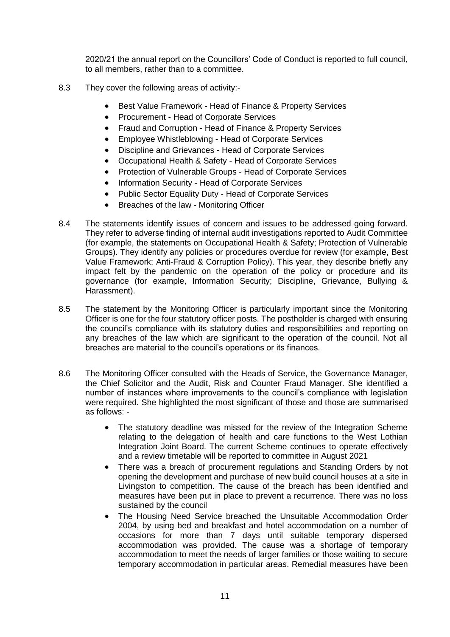2020/21 the annual report on the Councillors' Code of Conduct is reported to full council, to all members, rather than to a committee.

- 8.3 They cover the following areas of activity:-
	- Best Value Framework Head of Finance & Property Services
	- Procurement Head of Corporate Services
	- Fraud and Corruption Head of Finance & Property Services
	- Employee Whistleblowing Head of Corporate Services
	- Discipline and Grievances Head of Corporate Services
	- Occupational Health & Safety Head of Corporate Services
	- Protection of Vulnerable Groups Head of Corporate Services
	- Information Security Head of Corporate Services
	- Public Sector Equality Duty Head of Corporate Services
	- Breaches of the law Monitoring Officer
- 8.4 The statements identify issues of concern and issues to be addressed going forward. They refer to adverse finding of internal audit investigations reported to Audit Committee (for example, the statements on Occupational Health & Safety; Protection of Vulnerable Groups). They identify any policies or procedures overdue for review (for example, Best Value Framework; Anti-Fraud & Corruption Policy). This year, they describe briefly any impact felt by the pandemic on the operation of the policy or procedure and its governance (for example, Information Security; Discipline, Grievance, Bullying & Harassment).
- 8.5 The statement by the Monitoring Officer is particularly important since the Monitoring Officer is one for the four statutory officer posts. The postholder is charged with ensuring the council's compliance with its statutory duties and responsibilities and reporting on any breaches of the law which are significant to the operation of the council. Not all breaches are material to the council's operations or its finances.
- 8.6 The Monitoring Officer consulted with the Heads of Service, the Governance Manager, the Chief Solicitor and the Audit, Risk and Counter Fraud Manager. She identified a number of instances where improvements to the council's compliance with legislation were required. She highlighted the most significant of those and those are summarised as follows: -
	- The statutory deadline was missed for the review of the Integration Scheme relating to the delegation of health and care functions to the West Lothian Integration Joint Board. The current Scheme continues to operate effectively and a review timetable will be reported to committee in August 2021
	- There was a breach of procurement regulations and Standing Orders by not opening the development and purchase of new build council houses at a site in Livingston to competition. The cause of the breach has been identified and measures have been put in place to prevent a recurrence. There was no loss sustained by the council
	- The Housing Need Service breached the Unsuitable Accommodation Order 2004, by using bed and breakfast and hotel accommodation on a number of occasions for more than 7 days until suitable temporary dispersed accommodation was provided. The cause was a shortage of temporary accommodation to meet the needs of larger families or those waiting to secure temporary accommodation in particular areas. Remedial measures have been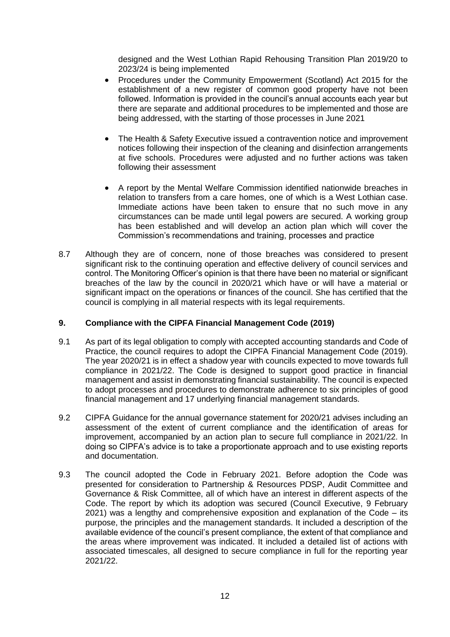designed and the West Lothian Rapid Rehousing Transition Plan 2019/20 to 2023/24 is being implemented

- Procedures under the Community Empowerment (Scotland) Act 2015 for the establishment of a new register of common good property have not been followed. Information is provided in the council's annual accounts each year but there are separate and additional procedures to be implemented and those are being addressed, with the starting of those processes in June 2021
- The Health & Safety Executive issued a contravention notice and improvement notices following their inspection of the cleaning and disinfection arrangements at five schools. Procedures were adjusted and no further actions was taken following their assessment
- A report by the Mental Welfare Commission identified nationwide breaches in relation to transfers from a care homes, one of which is a West Lothian case. Immediate actions have been taken to ensure that no such move in any circumstances can be made until legal powers are secured. A working group has been established and will develop an action plan which will cover the Commission's recommendations and training, processes and practice
- 8.7 Although they are of concern, none of those breaches was considered to present significant risk to the continuing operation and effective delivery of council services and control. The Monitoring Officer's opinion is that there have been no material or significant breaches of the law by the council in 2020/21 which have or will have a material or significant impact on the operations or finances of the council. She has certified that the council is complying in all material respects with its legal requirements.

### **9. Compliance with the CIPFA Financial Management Code (2019)**

- 9.1 As part of its legal obligation to comply with accepted accounting standards and Code of Practice, the council requires to adopt the CIPFA Financial Management Code (2019). The year 2020/21 is in effect a shadow year with councils expected to move towards full compliance in 2021/22. The Code is designed to support good practice in financial management and assist in demonstrating financial sustainability. The council is expected to adopt processes and procedures to demonstrate adherence to six principles of good financial management and 17 underlying financial management standards.
- 9.2 CIPFA Guidance for the annual governance statement for 2020/21 advises including an assessment of the extent of current compliance and the identification of areas for improvement, accompanied by an action plan to secure full compliance in 2021/22. In doing so CIPFA's advice is to take a proportionate approach and to use existing reports and documentation.
- 9.3 The council adopted the Code in February 2021. Before adoption the Code was presented for consideration to Partnership & Resources PDSP, Audit Committee and Governance & Risk Committee, all of which have an interest in different aspects of the Code. The report by which its adoption was secured (Council Executive, 9 February 2021) was a lengthy and comprehensive exposition and explanation of the Code – its purpose, the principles and the management standards. It included a description of the available evidence of the council's present compliance, the extent of that compliance and the areas where improvement was indicated. It included a detailed list of actions with associated timescales, all designed to secure compliance in full for the reporting year 2021/22.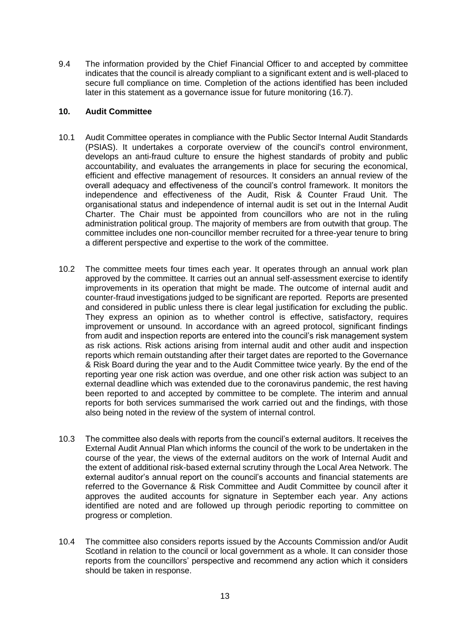9.4 The information provided by the Chief Financial Officer to and accepted by committee indicates that the council is already compliant to a significant extent and is well-placed to secure full compliance on time. Completion of the actions identified has been included later in this statement as a governance issue for future monitoring (16.7).

### **10. Audit Committee**

- 10.1 Audit Committee operates in compliance with the Public Sector Internal Audit Standards (PSIAS). It undertakes a corporate overview of the council's control environment, develops an anti-fraud culture to ensure the highest standards of probity and public accountability, and evaluates the arrangements in place for securing the economical, efficient and effective management of resources. It considers an annual review of the overall adequacy and effectiveness of the council's control framework. It monitors the independence and effectiveness of the Audit, Risk & Counter Fraud Unit. The organisational status and independence of internal audit is set out in the Internal Audit Charter. The Chair must be appointed from councillors who are not in the ruling administration political group. The majority of members are from outwith that group. The committee includes one non-councillor member recruited for a three-year tenure to bring a different perspective and expertise to the work of the committee.
- 10.2 The committee meets four times each year. It operates through an annual work plan approved by the committee. It carries out an annual self-assessment exercise to identify improvements in its operation that might be made. The outcome of internal audit and counter-fraud investigations judged to be significant are reported. Reports are presented and considered in public unless there is clear legal justification for excluding the public. They express an opinion as to whether control is effective, satisfactory, requires improvement or unsound. In accordance with an agreed protocol, significant findings from audit and inspection reports are entered into the council's risk management system as risk actions. Risk actions arising from internal audit and other audit and inspection reports which remain outstanding after their target dates are reported to the Governance & Risk Board during the year and to the Audit Committee twice yearly. By the end of the reporting year one risk action was overdue, and one other risk action was subject to an external deadline which was extended due to the coronavirus pandemic, the rest having been reported to and accepted by committee to be complete. The interim and annual reports for both services summarised the work carried out and the findings, with those also being noted in the review of the system of internal control.
- 10.3 The committee also deals with reports from the council's external auditors. It receives the External Audit Annual Plan which informs the council of the work to be undertaken in the course of the year, the views of the external auditors on the work of Internal Audit and the extent of additional risk-based external scrutiny through the Local Area Network. The external auditor's annual report on the council's accounts and financial statements are referred to the Governance & Risk Committee and Audit Committee by council after it approves the audited accounts for signature in September each year. Any actions identified are noted and are followed up through periodic reporting to committee on progress or completion.
- 10.4 The committee also considers reports issued by the Accounts Commission and/or Audit Scotland in relation to the council or local government as a whole. It can consider those reports from the councillors' perspective and recommend any action which it considers should be taken in response.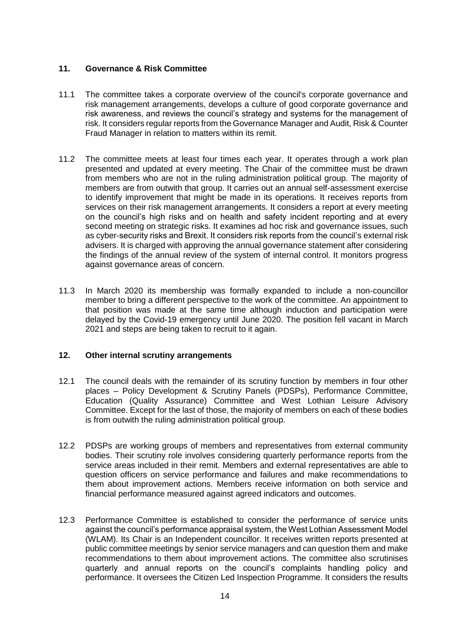## **11. Governance & Risk Committee**

- 11.1 The committee takes a corporate overview of the council's corporate governance and risk management arrangements, develops a culture of good corporate governance and risk awareness, and reviews the council's strategy and systems for the management of risk. It considers regular reports from the Governance Manager and Audit, Risk & Counter Fraud Manager in relation to matters within its remit.
- 11.2 The committee meets at least four times each year. It operates through a work plan presented and updated at every meeting. The Chair of the committee must be drawn from members who are not in the ruling administration political group. The majority of members are from outwith that group. It carries out an annual self-assessment exercise to identify improvement that might be made in its operations. It receives reports from services on their risk management arrangements. It considers a report at every meeting on the council's high risks and on health and safety incident reporting and at every second meeting on strategic risks. It examines ad hoc risk and governance issues, such as cyber-security risks and Brexit. It considers risk reports from the council's external risk advisers. It is charged with approving the annual governance statement after considering the findings of the annual review of the system of internal control. It monitors progress against governance areas of concern.
- 11.3 In March 2020 its membership was formally expanded to include a non-councillor member to bring a different perspective to the work of the committee. An appointment to that position was made at the same time although induction and participation were delayed by the Covid-19 emergency until June 2020. The position fell vacant in March 2021 and steps are being taken to recruit to it again.

### **12. Other internal scrutiny arrangements**

- 12.1 The council deals with the remainder of its scrutiny function by members in four other places – Policy Development & Scrutiny Panels (PDSPs), Performance Committee, Education (Quality Assurance) Committee and West Lothian Leisure Advisory Committee. Except for the last of those, the majority of members on each of these bodies is from outwith the ruling administration political group.
- 12.2 PDSPs are working groups of members and representatives from external community bodies. Their scrutiny role involves considering quarterly performance reports from the service areas included in their remit. Members and external representatives are able to question officers on service performance and failures and make recommendations to them about improvement actions. Members receive information on both service and financial performance measured against agreed indicators and outcomes.
- 12.3 Performance Committee is established to consider the performance of service units against the council's performance appraisal system, the West Lothian Assessment Model (WLAM). Its Chair is an Independent councillor. It receives written reports presented at public committee meetings by senior service managers and can question them and make recommendations to them about improvement actions. The committee also scrutinises quarterly and annual reports on the council's complaints handling policy and performance. It oversees the Citizen Led Inspection Programme. It considers the results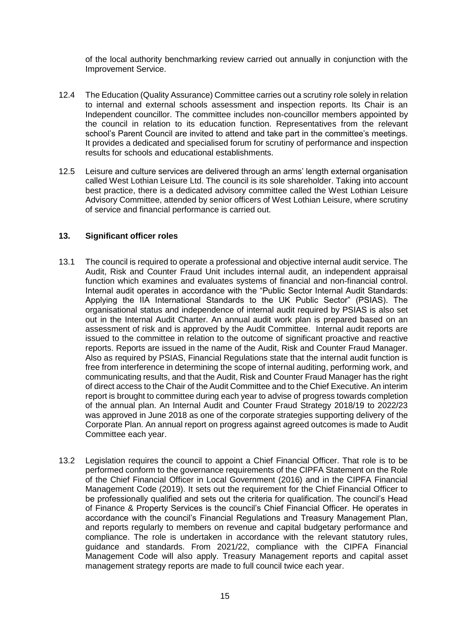of the local authority benchmarking review carried out annually in conjunction with the Improvement Service.

- 12.4 The Education (Quality Assurance) Committee carries out a scrutiny role solely in relation to internal and external schools assessment and inspection reports. Its Chair is an Independent councillor. The committee includes non-councillor members appointed by the council in relation to its education function. Representatives from the relevant school's Parent Council are invited to attend and take part in the committee's meetings. It provides a dedicated and specialised forum for scrutiny of performance and inspection results for schools and educational establishments.
- 12.5 Leisure and culture services are delivered through an arms' length external organisation called West Lothian Leisure Ltd. The council is its sole shareholder. Taking into account best practice, there is a dedicated advisory committee called the West Lothian Leisure Advisory Committee, attended by senior officers of West Lothian Leisure, where scrutiny of service and financial performance is carried out.

### **13. Significant officer roles**

- 13.1 The council is required to operate a professional and objective internal audit service. The Audit, Risk and Counter Fraud Unit includes internal audit, an independent appraisal function which examines and evaluates systems of financial and non-financial control. Internal audit operates in accordance with the "Public Sector Internal Audit Standards: Applying the IIA International Standards to the UK Public Sector" (PSIAS). The organisational status and independence of internal audit required by PSIAS is also set out in the Internal Audit Charter. An annual audit work plan is prepared based on an assessment of risk and is approved by the Audit Committee. Internal audit reports are issued to the committee in relation to the outcome of significant proactive and reactive reports. Reports are issued in the name of the Audit, Risk and Counter Fraud Manager. Also as required by PSIAS, Financial Regulations state that the internal audit function is free from interference in determining the scope of internal auditing, performing work, and communicating results, and that the Audit, Risk and Counter Fraud Manager has the right of direct access to the Chair of the Audit Committee and to the Chief Executive. An interim report is brought to committee during each year to advise of progress towards completion of the annual plan. An Internal Audit and Counter Fraud Strategy 2018/19 to 2022/23 was approved in June 2018 as one of the corporate strategies supporting delivery of the Corporate Plan. An annual report on progress against agreed outcomes is made to Audit Committee each year.
- 13.2 Legislation requires the council to appoint a Chief Financial Officer. That role is to be performed conform to the governance requirements of the CIPFA Statement on the Role of the Chief Financial Officer in Local Government (2016) and in the CIPFA Financial Management Code (2019). It sets out the requirement for the Chief Financial Officer to be professionally qualified and sets out the criteria for qualification. The council's Head of Finance & Property Services is the council's Chief Financial Officer. He operates in accordance with the council's Financial Regulations and Treasury Management Plan, and reports regularly to members on revenue and capital budgetary performance and compliance. The role is undertaken in accordance with the relevant statutory rules, guidance and standards. From 2021/22, compliance with the CIPFA Financial Management Code will also apply. Treasury Management reports and capital asset management strategy reports are made to full council twice each year.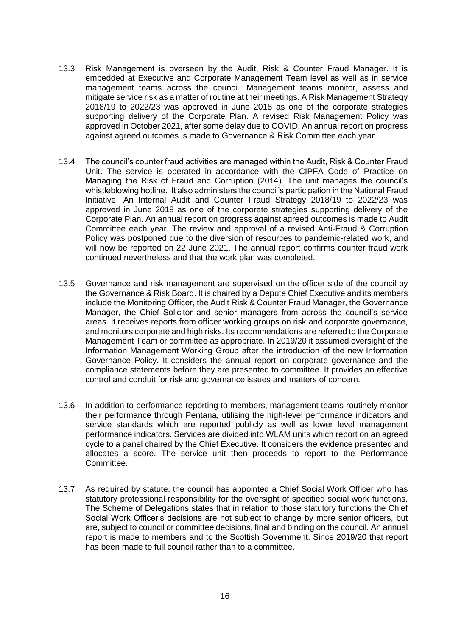- 13.3 Risk Management is overseen by the Audit, Risk & Counter Fraud Manager. It is embedded at Executive and Corporate Management Team level as well as in service management teams across the council. Management teams monitor, assess and mitigate service risk as a matter of routine at their meetings. A Risk Management Strategy 2018/19 to 2022/23 was approved in June 2018 as one of the corporate strategies supporting delivery of the Corporate Plan. A revised Risk Management Policy was approved in October 2021, after some delay due to COVID. An annual report on progress against agreed outcomes is made to Governance & Risk Committee each year.
- 13.4 The council's counter fraud activities are managed within the Audit, Risk & Counter Fraud Unit. The service is operated in accordance with the CIPFA Code of Practice on Managing the Risk of Fraud and Corruption (2014). The unit manages the council's whistleblowing hotline. It also administers the council's participation in the National Fraud Initiative. An Internal Audit and Counter Fraud Strategy 2018/19 to 2022/23 was approved in June 2018 as one of the corporate strategies supporting delivery of the Corporate Plan. An annual report on progress against agreed outcomes is made to Audit Committee each year. The review and approval of a revised Anti-Fraud & Corruption Policy was postponed due to the diversion of resources to pandemic-related work, and will now be reported on 22 June 2021. The annual report confirms counter fraud work continued nevertheless and that the work plan was completed.
- 13.5 Governance and risk management are supervised on the officer side of the council by the Governance & Risk Board. It is chaired by a Depute Chief Executive and its members include the Monitoring Officer, the Audit Risk & Counter Fraud Manager, the Governance Manager, the Chief Solicitor and senior managers from across the council's service areas. It receives reports from officer working groups on risk and corporate governance, and monitors corporate and high risks. Its recommendations are referred to the Corporate Management Team or committee as appropriate. In 2019/20 it assumed oversight of the Information Management Working Group after the introduction of the new Information Governance Policy. It considers the annual report on corporate governance and the compliance statements before they are presented to committee. It provides an effective control and conduit for risk and governance issues and matters of concern.
- 13.6 In addition to performance reporting to members, management teams routinely monitor their performance through Pentana, utilising the high-level performance indicators and service standards which are reported publicly as well as lower level management performance indicators. Services are divided into WLAM units which report on an agreed cycle to a panel chaired by the Chief Executive. It considers the evidence presented and allocates a score. The service unit then proceeds to report to the Performance Committee.
- 13.7 As required by statute, the council has appointed a Chief Social Work Officer who has statutory professional responsibility for the oversight of specified social work functions. The Scheme of Delegations states that in relation to those statutory functions the Chief Social Work Officer's decisions are not subject to change by more senior officers, but are, subject to council or committee decisions, final and binding on the council. An annual report is made to members and to the Scottish Government. Since 2019/20 that report has been made to full council rather than to a committee.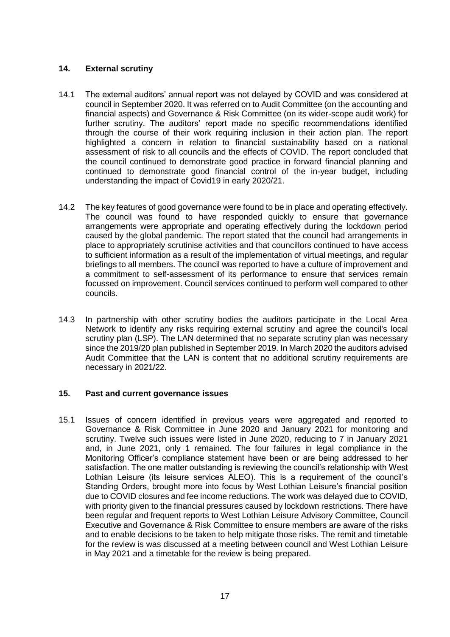## **14. External scrutiny**

- 14.1 The external auditors' annual report was not delayed by COVID and was considered at council in September 2020. It was referred on to Audit Committee (on the accounting and financial aspects) and Governance & Risk Committee (on its wider-scope audit work) for further scrutiny. The auditors' report made no specific recommendations identified through the course of their work requiring inclusion in their action plan. The report highlighted a concern in relation to financial sustainability based on a national assessment of risk to all councils and the effects of COVID. The report concluded that the council continued to demonstrate good practice in forward financial planning and continued to demonstrate good financial control of the in-year budget, including understanding the impact of Covid19 in early 2020/21.
- 14.2 The key features of good governance were found to be in place and operating effectively. The council was found to have responded quickly to ensure that governance arrangements were appropriate and operating effectively during the lockdown period caused by the global pandemic. The report stated that the council had arrangements in place to appropriately scrutinise activities and that councillors continued to have access to sufficient information as a result of the implementation of virtual meetings, and regular briefings to all members. The council was reported to have a culture of improvement and a commitment to self-assessment of its performance to ensure that services remain focussed on improvement. Council services continued to perform well compared to other councils.
- 14.3 In partnership with other scrutiny bodies the auditors participate in the Local Area Network to identify any risks requiring external scrutiny and agree the council's local scrutiny plan (LSP). The LAN determined that no separate scrutiny plan was necessary since the 2019/20 plan published in September 2019. In March 2020 the auditors advised Audit Committee that the LAN is content that no additional scrutiny requirements are necessary in 2021/22.

### **15. Past and current governance issues**

15.1 Issues of concern identified in previous years were aggregated and reported to Governance & Risk Committee in June 2020 and January 2021 for monitoring and scrutiny. Twelve such issues were listed in June 2020, reducing to 7 in January 2021 and, in June 2021, only 1 remained. The four failures in legal compliance in the Monitoring Officer's compliance statement have been or are being addressed to her satisfaction. The one matter outstanding is reviewing the council's relationship with West Lothian Leisure (its leisure services ALEO). This is a requirement of the council's Standing Orders, brought more into focus by West Lothian Leisure's financial position due to COVID closures and fee income reductions. The work was delayed due to COVID, with priority given to the financial pressures caused by lockdown restrictions. There have been regular and frequent reports to West Lothian Leisure Advisory Committee, Council Executive and Governance & Risk Committee to ensure members are aware of the risks and to enable decisions to be taken to help mitigate those risks. The remit and timetable for the review is was discussed at a meeting between council and West Lothian Leisure in May 2021 and a timetable for the review is being prepared.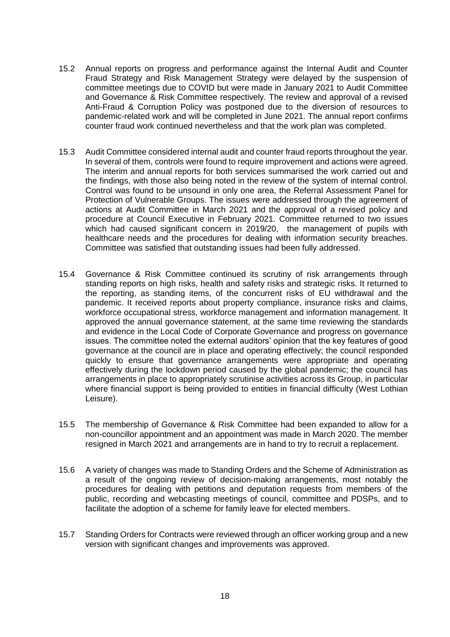- 15.2 Annual reports on progress and performance against the Internal Audit and Counter Fraud Strategy and Risk Management Strategy were delayed by the suspension of committee meetings due to COVID but were made in January 2021 to Audit Committee and Governance & Risk Committee respectively. The review and approval of a revised Anti-Fraud & Corruption Policy was postponed due to the diversion of resources to pandemic-related work and will be completed in June 2021. The annual report confirms counter fraud work continued nevertheless and that the work plan was completed.
- 15.3 Audit Committee considered internal audit and counter fraud reports throughout the year. In several of them, controls were found to require improvement and actions were agreed. The interim and annual reports for both services summarised the work carried out and the findings, with those also being noted in the review of the system of internal control. Control was found to be unsound in only one area, the Referral Assessment Panel for Protection of Vulnerable Groups. The issues were addressed through the agreement of actions at Audit Committee in March 2021 and the approval of a revised policy and procedure at Council Executive in February 2021. Committee returned to two issues which had caused significant concern in 2019/20, the management of pupils with healthcare needs and the procedures for dealing with information security breaches. Committee was satisfied that outstanding issues had been fully addressed.
- 15.4 Governance & Risk Committee continued its scrutiny of risk arrangements through standing reports on high risks, health and safety risks and strategic risks. It returned to the reporting, as standing items, of the concurrent risks of EU withdrawal and the pandemic. It received reports about property compliance, insurance risks and claims, workforce occupational stress, workforce management and information management. It approved the annual governance statement, at the same time reviewing the standards and evidence in the Local Code of Corporate Governance and progress on governance issues. The committee noted the external auditors' opinion that the key features of good governance at the council are in place and operating effectively; the council responded quickly to ensure that governance arrangements were appropriate and operating effectively during the lockdown period caused by the global pandemic; the council has arrangements in place to appropriately scrutinise activities across its Group, in particular where financial support is being provided to entities in financial difficulty (West Lothian Leisure).
- 15.5 The membership of Governance & Risk Committee had been expanded to allow for a non-councillor appointment and an appointment was made in March 2020. The member resigned in March 2021 and arrangements are in hand to try to recruit a replacement.
- 15.6 A variety of changes was made to Standing Orders and the Scheme of Administration as a result of the ongoing review of decision-making arrangements, most notably the procedures for dealing with petitions and deputation requests from members of the public, recording and webcasting meetings of council, committee and PDSPs, and to facilitate the adoption of a scheme for family leave for elected members.
- 15.7 Standing Orders for Contracts were reviewed through an officer working group and a new version with significant changes and improvements was approved.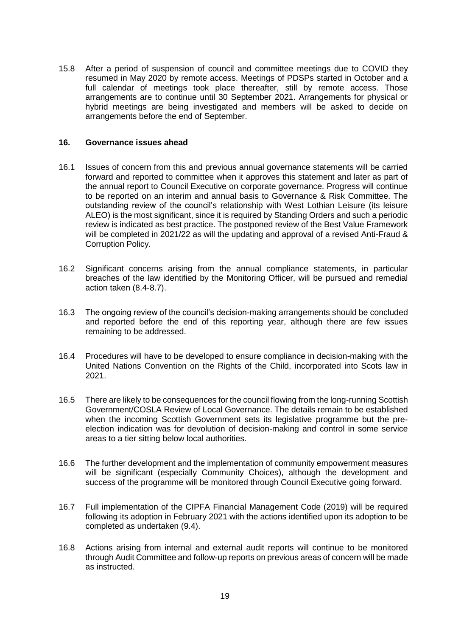15.8 After a period of suspension of council and committee meetings due to COVID they resumed in May 2020 by remote access. Meetings of PDSPs started in October and a full calendar of meetings took place thereafter, still by remote access. Those arrangements are to continue until 30 September 2021. Arrangements for physical or hybrid meetings are being investigated and members will be asked to decide on arrangements before the end of September.

#### **16. Governance issues ahead**

- 16.1 Issues of concern from this and previous annual governance statements will be carried forward and reported to committee when it approves this statement and later as part of the annual report to Council Executive on corporate governance. Progress will continue to be reported on an interim and annual basis to Governance & Risk Committee. The outstanding review of the council's relationship with West Lothian Leisure (its leisure ALEO) is the most significant, since it is required by Standing Orders and such a periodic review is indicated as best practice. The postponed review of the Best Value Framework will be completed in 2021/22 as will the updating and approval of a revised Anti-Fraud & Corruption Policy.
- 16.2 Significant concerns arising from the annual compliance statements, in particular breaches of the law identified by the Monitoring Officer, will be pursued and remedial action taken (8.4-8.7).
- 16.3 The ongoing review of the council's decision-making arrangements should be concluded and reported before the end of this reporting year, although there are few issues remaining to be addressed.
- 16.4 Procedures will have to be developed to ensure compliance in decision-making with the United Nations Convention on the Rights of the Child, incorporated into Scots law in 2021.
- 16.5 There are likely to be consequences for the council flowing from the long-running Scottish Government/COSLA Review of Local Governance. The details remain to be established when the incoming Scottish Government sets its legislative programme but the preelection indication was for devolution of decision-making and control in some service areas to a tier sitting below local authorities.
- 16.6 The further development and the implementation of community empowerment measures will be significant (especially Community Choices), although the development and success of the programme will be monitored through Council Executive going forward.
- 16.7 Full implementation of the CIPFA Financial Management Code (2019) will be required following its adoption in February 2021 with the actions identified upon its adoption to be completed as undertaken (9.4).
- 16.8 Actions arising from internal and external audit reports will continue to be monitored through Audit Committee and follow-up reports on previous areas of concern will be made as instructed.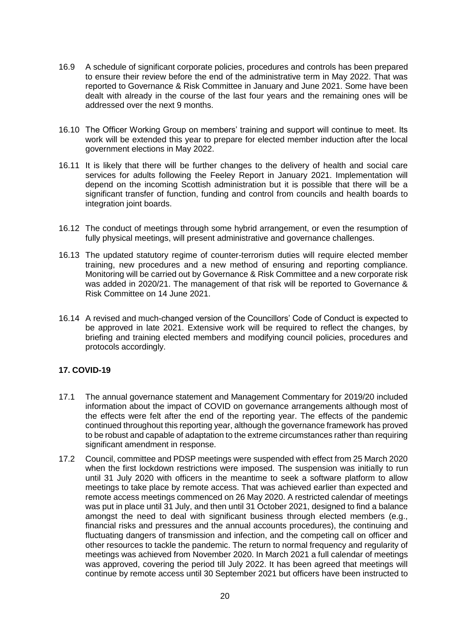- 16.9 A schedule of significant corporate policies, procedures and controls has been prepared to ensure their review before the end of the administrative term in May 2022. That was reported to Governance & Risk Committee in January and June 2021. Some have been dealt with already in the course of the last four years and the remaining ones will be addressed over the next 9 months.
- 16.10 The Officer Working Group on members' training and support will continue to meet. Its work will be extended this year to prepare for elected member induction after the local government elections in May 2022.
- 16.11 It is likely that there will be further changes to the delivery of health and social care services for adults following the Feeley Report in January 2021. Implementation will depend on the incoming Scottish administration but it is possible that there will be a significant transfer of function, funding and control from councils and health boards to integration joint boards.
- 16.12 The conduct of meetings through some hybrid arrangement, or even the resumption of fully physical meetings, will present administrative and governance challenges.
- 16.13 The updated statutory regime of counter-terrorism duties will require elected member training, new procedures and a new method of ensuring and reporting compliance. Monitoring will be carried out by Governance & Risk Committee and a new corporate risk was added in 2020/21. The management of that risk will be reported to Governance & Risk Committee on 14 June 2021.
- 16.14 A revised and much-changed version of the Councillors' Code of Conduct is expected to be approved in late 2021. Extensive work will be required to reflect the changes, by briefing and training elected members and modifying council policies, procedures and protocols accordingly.

# **17. COVID-19**

- 17.1 The annual governance statement and Management Commentary for 2019/20 included information about the impact of COVID on governance arrangements although most of the effects were felt after the end of the reporting year. The effects of the pandemic continued throughout this reporting year, although the governance framework has proved to be robust and capable of adaptation to the extreme circumstances rather than requiring significant amendment in response.
- 17.2 Council, committee and PDSP meetings were suspended with effect from 25 March 2020 when the first lockdown restrictions were imposed. The suspension was initially to run until 31 July 2020 with officers in the meantime to seek a software platform to allow meetings to take place by remote access. That was achieved earlier than expected and remote access meetings commenced on 26 May 2020. A restricted calendar of meetings was put in place until 31 July, and then until 31 October 2021, designed to find a balance amongst the need to deal with significant business through elected members (e.g., financial risks and pressures and the annual accounts procedures), the continuing and fluctuating dangers of transmission and infection, and the competing call on officer and other resources to tackle the pandemic. The return to normal frequency and regularity of meetings was achieved from November 2020. In March 2021 a full calendar of meetings was approved, covering the period till July 2022. It has been agreed that meetings will continue by remote access until 30 September 2021 but officers have been instructed to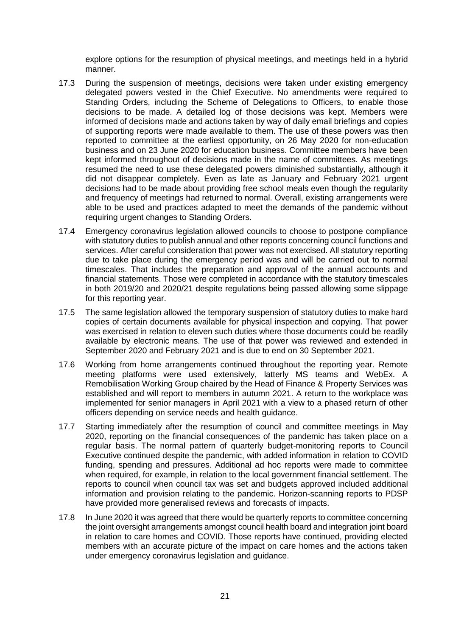explore options for the resumption of physical meetings, and meetings held in a hybrid manner.

- 17.3 During the suspension of meetings, decisions were taken under existing emergency delegated powers vested in the Chief Executive. No amendments were required to Standing Orders, including the Scheme of Delegations to Officers, to enable those decisions to be made. A detailed log of those decisions was kept. Members were informed of decisions made and actions taken by way of daily email briefings and copies of supporting reports were made available to them. The use of these powers was then reported to committee at the earliest opportunity, on 26 May 2020 for non-education business and on 23 June 2020 for education business. Committee members have been kept informed throughout of decisions made in the name of committees. As meetings resumed the need to use these delegated powers diminished substantially, although it did not disappear completely. Even as late as January and February 2021 urgent decisions had to be made about providing free school meals even though the regularity and frequency of meetings had returned to normal. Overall, existing arrangements were able to be used and practices adapted to meet the demands of the pandemic without requiring urgent changes to Standing Orders.
- 17.4 Emergency coronavirus legislation allowed councils to choose to postpone compliance with statutory duties to publish annual and other reports concerning council functions and services. After careful consideration that power was not exercised. All statutory reporting due to take place during the emergency period was and will be carried out to normal timescales. That includes the preparation and approval of the annual accounts and financial statements. Those were completed in accordance with the statutory timescales in both 2019/20 and 2020/21 despite regulations being passed allowing some slippage for this reporting year.
- 17.5 The same legislation allowed the temporary suspension of statutory duties to make hard copies of certain documents available for physical inspection and copying. That power was exercised in relation to eleven such duties where those documents could be readily available by electronic means. The use of that power was reviewed and extended in September 2020 and February 2021 and is due to end on 30 September 2021.
- 17.6 Working from home arrangements continued throughout the reporting year. Remote meeting platforms were used extensively, latterly MS teams and WebEx. A Remobilisation Working Group chaired by the Head of Finance & Property Services was established and will report to members in autumn 2021. A return to the workplace was implemented for senior managers in April 2021 with a view to a phased return of other officers depending on service needs and health guidance.
- 17.7 Starting immediately after the resumption of council and committee meetings in May 2020, reporting on the financial consequences of the pandemic has taken place on a regular basis. The normal pattern of quarterly budget-monitoring reports to Council Executive continued despite the pandemic, with added information in relation to COVID funding, spending and pressures. Additional ad hoc reports were made to committee when required, for example, in relation to the local government financial settlement. The reports to council when council tax was set and budgets approved included additional information and provision relating to the pandemic. Horizon-scanning reports to PDSP have provided more generalised reviews and forecasts of impacts.
- 17.8 In June 2020 it was agreed that there would be quarterly reports to committee concerning the joint oversight arrangements amongst council health board and integration joint board in relation to care homes and COVID. Those reports have continued, providing elected members with an accurate picture of the impact on care homes and the actions taken under emergency coronavirus legislation and guidance.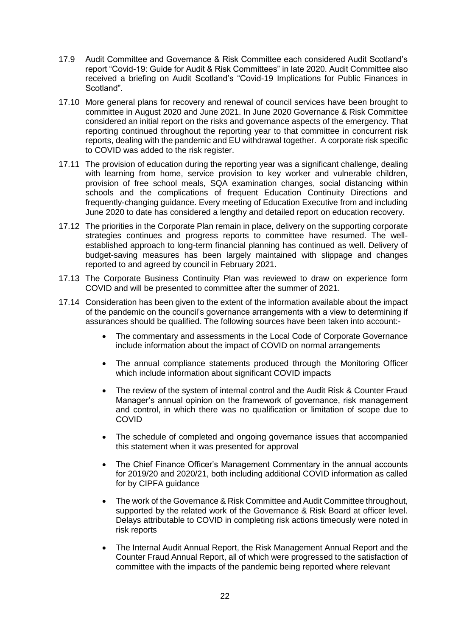- 17.9 Audit Committee and Governance & Risk Committee each considered Audit Scotland's report "Covid-19: Guide for Audit & Risk Committees" in late 2020. Audit Committee also received a briefing on Audit Scotland's "Covid-19 Implications for Public Finances in Scotland".
- 17.10 More general plans for recovery and renewal of council services have been brought to committee in August 2020 and June 2021. In June 2020 Governance & Risk Committee considered an initial report on the risks and governance aspects of the emergency. That reporting continued throughout the reporting year to that committee in concurrent risk reports, dealing with the pandemic and EU withdrawal together. A corporate risk specific to COVID was added to the risk register.
- 17.11 The provision of education during the reporting year was a significant challenge, dealing with learning from home, service provision to key worker and vulnerable children, provision of free school meals, SQA examination changes, social distancing within schools and the complications of frequent Education Continuity Directions and frequently-changing guidance. Every meeting of Education Executive from and including June 2020 to date has considered a lengthy and detailed report on education recovery.
- 17.12 The priorities in the Corporate Plan remain in place, delivery on the supporting corporate strategies continues and progress reports to committee have resumed. The wellestablished approach to long-term financial planning has continued as well. Delivery of budget-saving measures has been largely maintained with slippage and changes reported to and agreed by council in February 2021.
- 17.13 The Corporate Business Continuity Plan was reviewed to draw on experience form COVID and will be presented to committee after the summer of 2021.
- 17.14 Consideration has been given to the extent of the information available about the impact of the pandemic on the council's governance arrangements with a view to determining if assurances should be qualified. The following sources have been taken into account:-
	- The commentary and assessments in the Local Code of Corporate Governance include information about the impact of COVID on normal arrangements
	- The annual compliance statements produced through the Monitoring Officer which include information about significant COVID impacts
	- The review of the system of internal control and the Audit Risk & Counter Fraud Manager's annual opinion on the framework of governance, risk management and control, in which there was no qualification or limitation of scope due to COVID
	- The schedule of completed and ongoing governance issues that accompanied this statement when it was presented for approval
	- The Chief Finance Officer's Management Commentary in the annual accounts for 2019/20 and 2020/21, both including additional COVID information as called for by CIPFA guidance
	- The work of the Governance & Risk Committee and Audit Committee throughout, supported by the related work of the Governance & Risk Board at officer level. Delays attributable to COVID in completing risk actions timeously were noted in risk reports
	- The Internal Audit Annual Report, the Risk Management Annual Report and the Counter Fraud Annual Report, all of which were progressed to the satisfaction of committee with the impacts of the pandemic being reported where relevant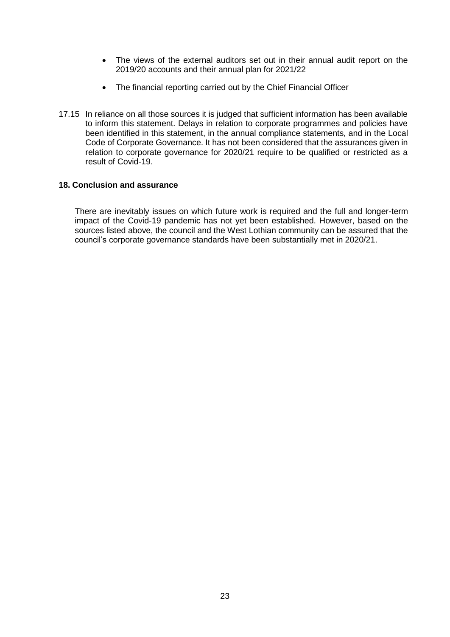- The views of the external auditors set out in their annual audit report on the 2019/20 accounts and their annual plan for 2021/22
- The financial reporting carried out by the Chief Financial Officer
- 17.15 In reliance on all those sources it is judged that sufficient information has been available to inform this statement. Delays in relation to corporate programmes and policies have been identified in this statement, in the annual compliance statements, and in the Local Code of Corporate Governance. It has not been considered that the assurances given in relation to corporate governance for 2020/21 require to be qualified or restricted as a result of Covid-19.

### **18. Conclusion and assurance**

There are inevitably issues on which future work is required and the full and longer-term impact of the Covid-19 pandemic has not yet been established. However, based on the sources listed above, the council and the West Lothian community can be assured that the council's corporate governance standards have been substantially met in 2020/21.